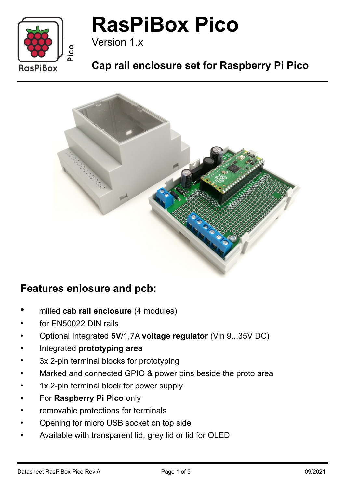

Version 1.x

### **Cap rail enclosure set for Raspberry Pi Pico**



### **Features enlosure and pcb:**

- milled **cab rail enclosure** (4 modules)
- for FN50022 DIN rails
- Optional Integrated **5V**/1,7A **voltage regulator** (Vin 9...35V DC)
- Integrated **prototyping area**
- 3x 2-pin terminal blocks for prototyping
- Marked and connected GPIO & power pins beside the proto area
- 1x 2-pin terminal block for power supply
- For **Raspberry Pi Pico** only
- removable protections for terminals
- Opening for micro USB socket on top side
- Available with transparent lid, grey lid or lid for OLED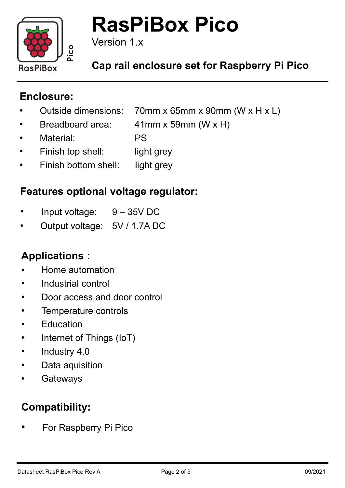

Version 1.x

**Cap rail enclosure set for Raspberry Pi Pico**

### **Enclosure:**

- Outside dimensions: 70mm x 65mm x 90mm (W x H x L)
- Breadboard area: 41mm x 59mm (W x H)
- Material: PS
- Finish top shell: light grey
- Finish bottom shell: light grey

### **Features optional voltage regulator:**

- Input voltage: 9 35V DC
- Output voltage: 5V / 1.7A DC

### **Applications :**

- Home automation
- Industrial control
- Door access and door control
- Temperature controls
- Education
- Internet of Things (IoT)
- Industry 4.0
- Data aquisition
- **Gateways**

### **Compatibility:**

**For Raspberry Pi Pico**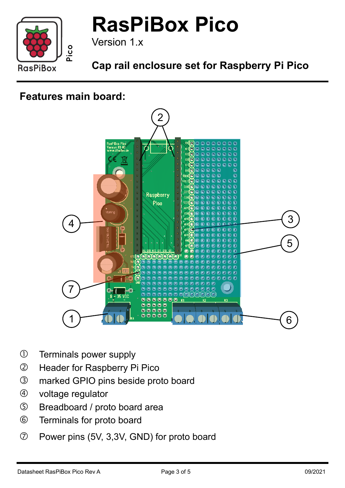

Version 1.x

## **Cap rail enclosure set for Raspberry Pi Pico**

### **Features main board:**



- Terminals power supply
- Header for Raspberry Pi Pico
- marked GPIO pins beside proto board
- voltage regulator
- Breadboard / proto board area
- Terminals for proto board
- Power pins (5V, 3,3V, GND) for proto board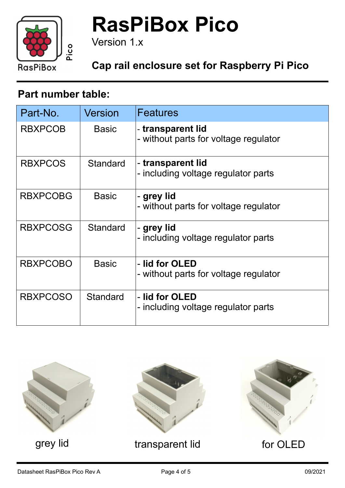

Version 1.x

## **Cap rail enclosure set for Raspberry Pi Pico**

### **Part number table:**

| Part-No.        | <b>Version</b>  | <b>Features</b>                                            |
|-----------------|-----------------|------------------------------------------------------------|
| <b>RBXPCOB</b>  | <b>Basic</b>    | - transparent lid<br>- without parts for voltage regulator |
| <b>RBXPCOS</b>  | <b>Standard</b> | - transparent lid<br>- including voltage regulator parts   |
| <b>RBXPCOBG</b> | <b>Basic</b>    | - grey lid<br>- without parts for voltage regulator        |
| <b>RBXPCOSG</b> | <b>Standard</b> | - grey lid<br>- including voltage regulator parts          |
| <b>RBXPCOBO</b> | <b>Basic</b>    | - lid for OLED<br>- without parts for voltage regulator    |
| <b>RBXPCOSO</b> | <b>Standard</b> | - lid for OLED<br>- including voltage regulator parts      |





grey lid transparent lid for OLED